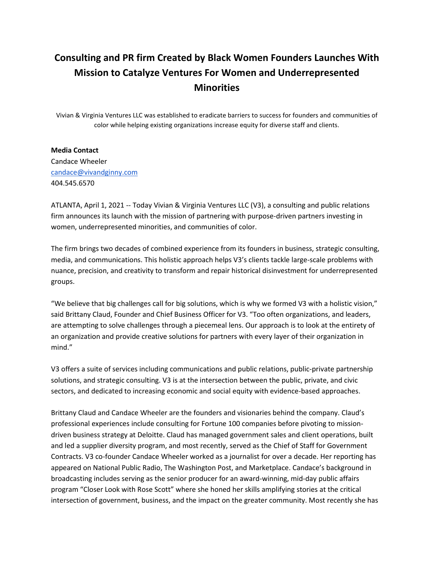## **Consulting and PR firm Created by Black Women Founders Launches With Mission to Catalyze Ventures For Women and Underrepresented Minorities**

Vivian & Virginia Ventures LLC was established to eradicate barriers to success for founders and communities of color while helping existing organizations increase equity for diverse staff and clients.

## **Media Contact**

Candace Wheeler [candace@vivandginny.com](mailto:candace@vivandginny.com) 404.545.6570

ATLANTA, April 1, 2021 -- Today Vivian & Virginia Ventures LLC (V3), a consulting and public relations firm announces its launch with the mission of partnering with purpose-driven partners investing in women, underrepresented minorities, and communities of color.

The firm brings two decades of combined experience from its founders in business, strategic consulting, media, and communications. This holistic approach helps V3's clients tackle large-scale problems with nuance, precision, and creativity to transform and repair historical disinvestment for underrepresented groups.

"We believe that big challenges call for big solutions, which is why we formed V3 with a holistic vision," said Brittany Claud, Founder and Chief Business Officer for V3. "Too often organizations, and leaders, are attempting to solve challenges through a piecemeal lens. Our approach is to look at the entirety of an organization and provide creative solutions for partners with every layer of their organization in mind."

V3 offers a suite of services including communications and public relations, public-private partnership solutions, and strategic consulting. V3 is at the intersection between the public, private, and civic sectors, and dedicated to increasing economic and social equity with evidence-based approaches.

Brittany Claud and Candace Wheeler are the founders and visionaries behind the company. Claud's professional experiences include consulting for Fortune 100 companies before pivoting to missiondriven business strategy at Deloitte. Claud has managed government sales and client operations, built and led a supplier diversity program, and most recently, served as the Chief of Staff for Government Contracts. V3 co-founder Candace Wheeler worked as a journalist for over a decade. Her reporting has appeared on National Public Radio, The Washington Post, and Marketplace. Candace's background in broadcasting includes serving as the senior producer for an award-winning, mid-day public affairs program "Closer Look with Rose Scott" where she honed her skills amplifying stories at the critical intersection of government, business, and the impact on the greater community. Most recently she has